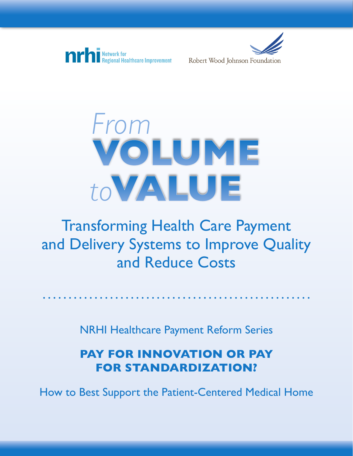





## Transforming Health Care Payment and Delivery Systems to Improve Quality and Reduce Costs

NRHI Healthcare Payment Reform Series

## **PAY FOR INNOVATION OR PAY FOR STANDARDIZATION?**

How to Best Support the Patient-Centered Medical Home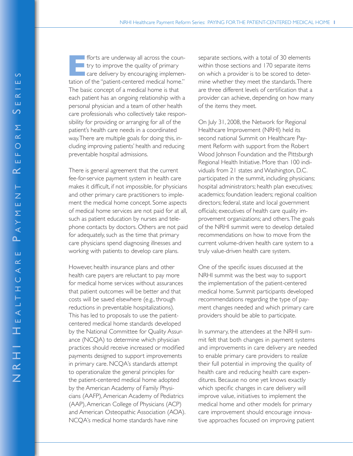fforts are underway all across the coun- $\blacksquare$  try to improve the quality of primary care delivery by encouraging implementation of the "patient-centered medical home." The basic concept of a medical home is that each patient has an ongoing relationship with a personal physician and a team of other health care professionals who collectively take responsibility for providing or arranging for all of the patient's health care needs in a coordinated way.There are multiple goals for doing this, including improving patients' health and reducing preventable hospital admissions.

There is general agreement that the current fee-for-service payment system in health care makes it difficult, if not impossible, for physicians and other primary care practitioners to implement the medical home concept. Some aspects of medical home services are not paid for at all, such as patient education by nurses and telephone contacts by doctors. Others are not paid for adequately, such as the time that primary care physicians spend diagnosing illnesses and working with patients to develop care plans.

However, health insurance plans and other health care payers are reluctant to pay more for medical home services without assurances that patient outcomes will be better and that costs will be saved elsewhere (e.g., through reductions in preventable hospitalizations). This has led to proposals to use the patientcentered medical home standards developed by the National Committee for Quality Assurance (NCQA) to determine which physician practices should receive increased or modified payments designed to support improvements in primary care. NCQA's standards attempt to operationalize the general principles for the patient-centered medical home adopted by the American Academy of Family Physicians (AAFP),American Academy of Pediatrics (AAP),American College of Physicians (ACP) and American Osteopathic Association (AOA). NCQA's medical home standards have nine

separate sections, with a total of 30 elements within those sections and 170 separate items on which a provider is to be scored to determine whether they meet the standards.There are three different levels of certification that a provider can achieve, depending on how many of the items they meet.

On July 31, 2008, the Network for Regional Healthcare Improvement (NRHI) held its second national Summit on Healthcare Payment Reform with support from the Robert Wood Johnson Foundation and the Pittsburgh Regional Health Initiative. More than 100 individuals from 21 states and Washington, D.C. participated in the summit, including physicians; hospital administrators; health plan executives; academics; foundation leaders; regional coalition directors; federal, state and local government officials; executives of health care quality improvement organizations; and others.The goals of the NRHI summit were to develop detailed recommendations on how to move from the current volume-driven health care system to a truly value-driven health care system.

One of the specific issues discussed at the NRHI summit was the best way to support the implementation of the patient-centered medical home. Summit participants developed recommendations regarding the type of payment changes needed and which primary care providers should be able to participate.

In summary, the attendees at the NRHI summit felt that both changes in payment systems and improvements in care delivery are needed to enable primary care providers to realize their full potential in improving the quality of health care and reducing health care expenditures. Because no one yet knows exactly which specific changes in care delivery will improve value, initiatives to implement the medical home and other models for primary care improvement should encourage innovative approaches focused on improving patient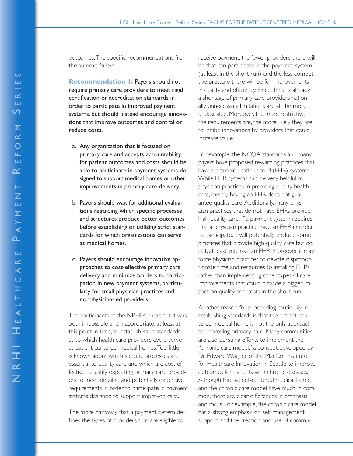outcomes. The specific recommendations from the summit follow.

**Recommendation 1: Payers should not** require primary care providers to meet rigid certification or accreditation standards in order to participate in improved payment systems, but should instead encourage innovations that improve outcomes and control or reduce costs.

- a. Any organization that is focused on primary care and accepts accountability for patient outcomes and costs should be able to participate in payment systems designed to support medical homes or other improvements in primary care delivery.
- b. Payers should wait for additional evaluations regarding which specific processes and structures produce better outcomes before establishing or utilizing strict standards for which organizations can serve as medical homes.
- c. Payers should encourage innovative approaches to cost-effective primary care delivery and minimize barriers to participation in new payment systems, particularly for small physician practices and nonphysician-led providers.

The participants at the NRHI summit felt it was both impossible and inappropriate, at least at this point in time, to establish strict standards as to which health care providers could serve as patient-centered medical homes. Too little is known about which specific processes are essential to quality care and which are cost effective to justify expecting primary care providers to meet detailed and potentially expensive requirements in order to participate in payment systems designed to support improved care.

The more narrowly that a payment system defines the types of providers that are eligible to

receive payment, the fewer providers there will be that can participate in the payment system (at least in the short run) and the less competitive pressure there will be for improvements in quality and efficiency. Since there is already a shortage of primary care providers nationally, unnecessary limitations are all the more undesirable. Moreover, the more restrictive the requirements are, the more likely they are to inhibit innovations by providers that could increase value.

For example, the NCQA standards and many payers have proposed rewarding practices that have electronic health record (EHR) systems. While EHR systems can be very helpful to physician practices in providing quality health care, merely having an EHR does not guarantee quality care. Additionally, many physician practices that do not have EHRs provide high-quality care. If a payment system requires that a physician practice have an EHR in order to participate, it will potentially exclude some practices that provide high-quality care but do not, at least yet, have an EHR. Moreover, it may force physician practices to devote disproportionate time and resources to installing EHRs rather than implementing other types of care improvements that could provide a bigger impact on quality and costs in the short run.

Another reason for proceeding cautiously in establishing standards is that the patient-centered medical home is not the only approach to improving primary care. Many communities are also pursuing efforts to implement the "chronic care model," a concept developed by Dr. Edward Wagner of the MacColl Institute for Healthcare Innovation in Seattle to improve outcomes for patients with chronic diseases. Although the patient-centered medical home and the chronic care model have much in common, there are clear differences in emphasis and focus. For example, the chronic care model has a strong emphasis on self-management support and the creation and use of commu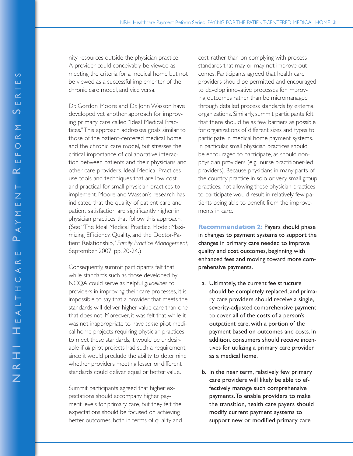nity resources outside the physician practice. A provider could conceivably be viewed as meeting the criteria for a medical home but not be viewed as a successful implementer of the chronic care model, and vice versa.

Dr. Gordon Moore and Dr. John Wasson have developed yet another approach for improving primary care called "Ideal Medical Practices." This approach addresses goals similar to those of the patient-centered medical home and the chronic care model, but stresses the critical importance of collaborative interaction between patients and their physicians and other care providers. Ideal Medical Practices use tools and techniques that are low cost and practical for small physician practices to implement. Moore and Wasson's research has indicated that the quality of patient care and patient satisfaction are significantly higher in physician practices that follow this approach. (See "The Ideal Medical Practice Model: Maximizing Efficiency, Quality, and the Doctor-Patient Relationship," *Family Practice Management*, September 2007, pp. 20-24.)

Consequently, summit participants felt that while standards such as those developed by NCQA could serve as helpful *guidelines* to providers in improving their care processes, it is impossible to say that a provider that meets the standards will deliver higher-value care than one that does not. Moreover, it was felt that while it was not inappropriate to have *some* pilot medical home projects requiring physician practices to meet these standards, it would be undesirable if *all* pilot projects had such a requirement, since it would preclude the ability to determine whether providers meeting lesser or different standards could deliver equal or better value.

Summit participants agreed that higher expectations should accompany higher payment levels for primary care, but they felt the expectations should be focused on achieving better outcomes, both in terms of quality and

cost, rather than on complying with process standards that may or may not improve outcomes. Participants agreed that health care providers should be permitted and encouraged to develop innovative processes for improving outcomes rather than be micromanaged through detailed process standards by external organizations. Similarly, summit participants felt that there should be as few barriers as possible for organizations of different sizes and types to participate in medical home payment systems. In particular, small physician practices should be encouraged to participate, as should nonphysician providers (e.g., nurse practitioner-led providers). Because physicians in many parts of the country practice in solo or very small group practices, not allowing these physician practices to participate would result in relatively few patients being able to benefit from the improvements in care.

**Recommendation 2:** Payers should phase in changes to payment systems to support the changes in primary care needed to improve quality and cost outcomes, beginning with enhanced fees and moving toward more comprehensive payments.

- a. Ultimately, the current fee structure should be completely replaced, and primary care providers should receive a single, severity-adjusted comprehensive payment to cover all of the costs of a person's outpatient care, with a portion of the payment based on outcomes and costs. In addition, consumers should receive incentives for utilizing a primary care provider as a medical home.
- b. In the near term, relatively few primary care providers will likely be able to effectively manage such comprehensive payments. To enable providers to make the transition, health care payers should modify current payment systems to support new or modified primary care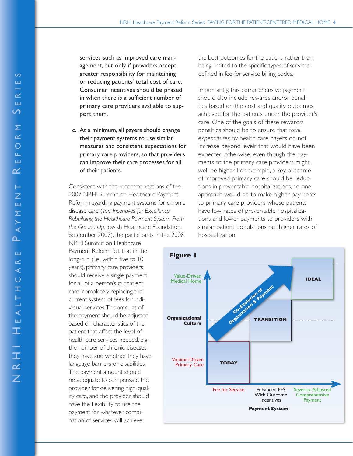services such as improved care management, but only if providers accept greater responsibility for maintaining or reducing patients' total cost of care. Consumer incentives should be phased in when there is a sufficient number of primary care providers available to support them.

c. At a minimum, all payers should change their payment systems to use similar measures and consistent expectations for primary care providers, so that providers can improve their care processes for all of their patients.

Consistent with the recommendations of the 2007 NRHI Summit on Healthcare Payment Reform regarding payment systems for chronic disease care (see *Incentives for Excellence: Rebuilding the Healthcare Payment System From the Ground Up*, Jewish Healthcare Foundation, September 2007), the participants in the 2008

NRHI Summit on Healthcare Payment Reform felt that in the long-run (i.e., within five to 10 years), primary care providers should receive a single payment for all of a person's outpatient care, completely replacing the current system of fees for individual services. The amount of the payment should be adjusted based on characteristics of the patient that affect the level of health care services needed, e.g., the number of chronic diseases they have and whether they have language barriers or disabilities. The payment amount should be adequate to compensate the provider for delivering high-quality care, and the provider should have the flexibility to use the payment for whatever combination of services will achieve

the best outcomes for the patient, rather than being limited to the specific types of services defined in fee-for-service billing codes.

Importantly, this comprehensive payment should also include rewards and/or penalties based on the cost and quality outcomes achieved for the patients under the provider's care. One of the goals of these rewards/ penalties should be to ensure that *total expenditures* by health care payers do not increase beyond levels that would have been expected otherwise, even though the payments to the primary care providers might well be higher. For example, a key outcome of improved primary care should be reductions in preventable hospitalizations, so one approach would be to make higher payments to primary care providers whose patients have low rates of preventable hospitalizations and lower payments to providers with similar patient populations but higher rates of hospitalization.

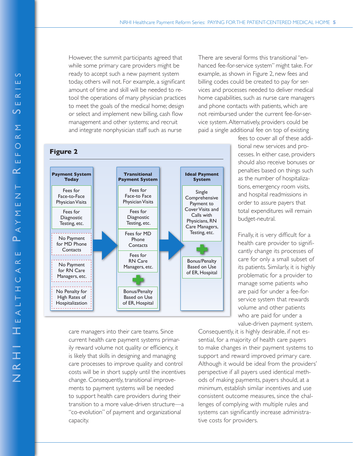However, the summit participants agreed that while some primary care providers might be ready to accept such a new payment system today, others will not. For example, a significant amount of time and skill will be needed to retool the operations of many physician practices to meet the goals of the medical home; design or select and implement new billing, cash flow management and other systems; and recruit and integrate nonphysician staff such as nurse

**Figure 2**



care managers into their care teams. Since current health care payment systems primarily reward volume not quality or efficiency, it is likely that skills in designing and managing care processes to improve quality and control costs will be in short supply until the incentives change. Consequently, transitional improvements to payment systems will be needed to support health care providers during their transition to a more value-driven structure—a "co-evolution" of payment and organizational capacity.

There are several forms this transitional "enhanced fee-for-service system" might take. For example, as shown in Figure 2, new fees and billing codes could be created to pay for services and processes needed to deliver medical home capabilities, such as nurse care managers and phone contacts with patients, which are not reimbursed under the current fee-for-service system. Alternatively, providers could be paid a single additional fee on top of existing

> fees to cover all of these additional new services and processes. In either case, providers should also receive bonuses or penalties based on things such as the number of hospitalizations, emergency room visits, and hospital readmissions in order to assure payers that total expenditures will remain budget-neutral.

> Finally, it is very difficult for a health care provider to significantly change its processes of care for only a small subset of its patients. Similarly, it is highly problematic for a provider to manage some patients who are paid for under a fee-forservice system that rewards volume and other patients who are paid for under a value-driven payment system.

Consequently, it is highly desirable, if not essential, for a majority of health care payers to make changes in their payment systems to support and reward improved primary care. Although it would be ideal from the providers' perspective if all payers used identical methods of making payments, payers should, at a minimum, establish similar incentives and use consistent outcome measures, since the challenges of complying with multiple rules and systems can significantly increase administrative costs for providers.